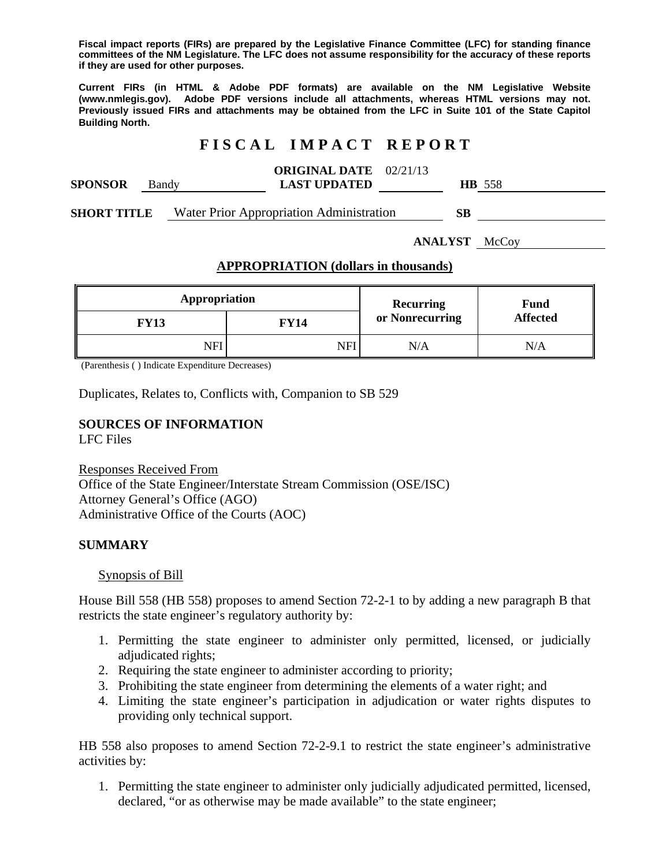**Fiscal impact reports (FIRs) are prepared by the Legislative Finance Committee (LFC) for standing finance committees of the NM Legislature. The LFC does not assume responsibility for the accuracy of these reports if they are used for other purposes.** 

**Current FIRs (in HTML & Adobe PDF formats) are available on the NM Legislative Website (www.nmlegis.gov). Adobe PDF versions include all attachments, whereas HTML versions may not. Previously issued FIRs and attachments may be obtained from the LFC in Suite 101 of the State Capitol Building North.**

## **F I S C A L I M P A C T R E P O R T**

|                |       | <b>ORIGINAL DATE</b> 02/21/13 |     |      |
|----------------|-------|-------------------------------|-----|------|
| <b>SPONSOR</b> | Bandy | <b>LAST UPDATED</b>           | HB. | -558 |
|                |       |                               |     |      |

**SHORT TITLE** Water Prior Appropriation Administration **SB** 

**ANALYST** McCoy

#### **APPROPRIATION (dollars in thousands)**

| Appropriation |             | <b>Recurring</b> | <b>Fund</b>     |
|---------------|-------------|------------------|-----------------|
| FY13          | <b>FY14</b> | or Nonrecurring  | <b>Affected</b> |
| NFI           | NFI         | N/A              | N/A             |

(Parenthesis ( ) Indicate Expenditure Decreases)

Duplicates, Relates to, Conflicts with, Companion to SB 529

# **SOURCES OF INFORMATION**

LFC Files

Responses Received From Office of the State Engineer/Interstate Stream Commission (OSE/ISC) Attorney General's Office (AGO) Administrative Office of the Courts (AOC)

#### **SUMMARY**

Synopsis of Bill

House Bill 558 (HB 558) proposes to amend Section 72-2-1 to by adding a new paragraph B that restricts the state engineer's regulatory authority by:

- 1. Permitting the state engineer to administer only permitted, licensed, or judicially adjudicated rights;
- 2. Requiring the state engineer to administer according to priority;
- 3. Prohibiting the state engineer from determining the elements of a water right; and
- 4. Limiting the state engineer's participation in adjudication or water rights disputes to providing only technical support.

HB 558 also proposes to amend Section 72-2-9.1 to restrict the state engineer's administrative activities by:

1. Permitting the state engineer to administer only judicially adjudicated permitted, licensed, declared, "or as otherwise may be made available" to the state engineer;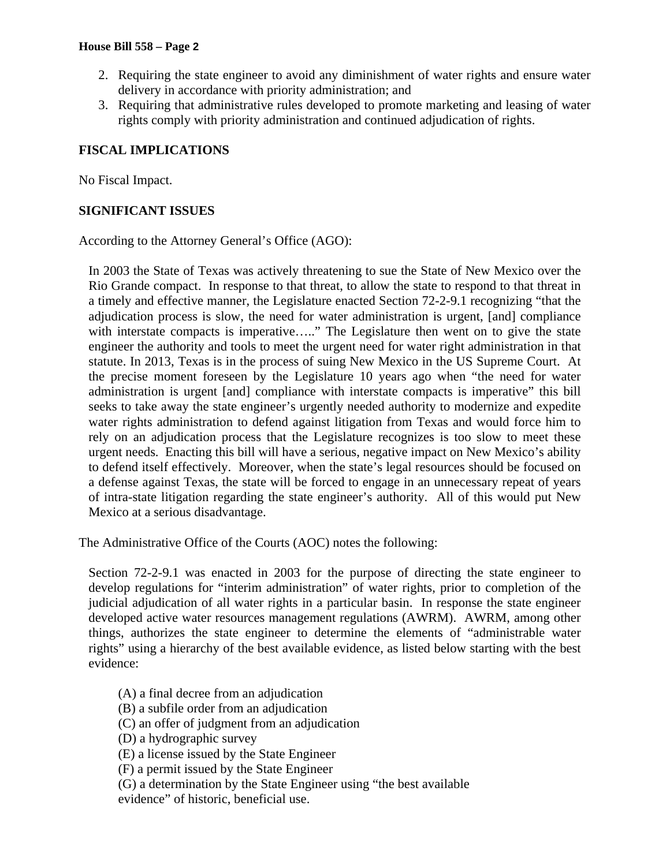- 2. Requiring the state engineer to avoid any diminishment of water rights and ensure water delivery in accordance with priority administration; and
- 3. Requiring that administrative rules developed to promote marketing and leasing of water rights comply with priority administration and continued adjudication of rights.

### **FISCAL IMPLICATIONS**

No Fiscal Impact.

### **SIGNIFICANT ISSUES**

According to the Attorney General's Office (AGO):

In 2003 the State of Texas was actively threatening to sue the State of New Mexico over the Rio Grande compact. In response to that threat, to allow the state to respond to that threat in a timely and effective manner, the Legislature enacted Section 72-2-9.1 recognizing "that the adjudication process is slow, the need for water administration is urgent, [and] compliance with interstate compacts is imperative....." The Legislature then went on to give the state engineer the authority and tools to meet the urgent need for water right administration in that statute. In 2013, Texas is in the process of suing New Mexico in the US Supreme Court. At the precise moment foreseen by the Legislature 10 years ago when "the need for water administration is urgent [and] compliance with interstate compacts is imperative" this bill seeks to take away the state engineer's urgently needed authority to modernize and expedite water rights administration to defend against litigation from Texas and would force him to rely on an adjudication process that the Legislature recognizes is too slow to meet these urgent needs. Enacting this bill will have a serious, negative impact on New Mexico's ability to defend itself effectively. Moreover, when the state's legal resources should be focused on a defense against Texas, the state will be forced to engage in an unnecessary repeat of years of intra-state litigation regarding the state engineer's authority. All of this would put New Mexico at a serious disadvantage.

The Administrative Office of the Courts (AOC) notes the following:

Section 72-2-9.1 was enacted in 2003 for the purpose of directing the state engineer to develop regulations for "interim administration" of water rights, prior to completion of the judicial adjudication of all water rights in a particular basin. In response the state engineer developed active water resources management regulations (AWRM). AWRM, among other things, authorizes the state engineer to determine the elements of "administrable water rights" using a hierarchy of the best available evidence, as listed below starting with the best evidence:

- (A) a final decree from an adjudication
- (B) a subfile order from an adjudication
- (C) an offer of judgment from an adjudication
- (D) a hydrographic survey
- (E) a license issued by the State Engineer
- (F) a permit issued by the State Engineer
- (G) a determination by the State Engineer using "the best available evidence" of historic, beneficial use.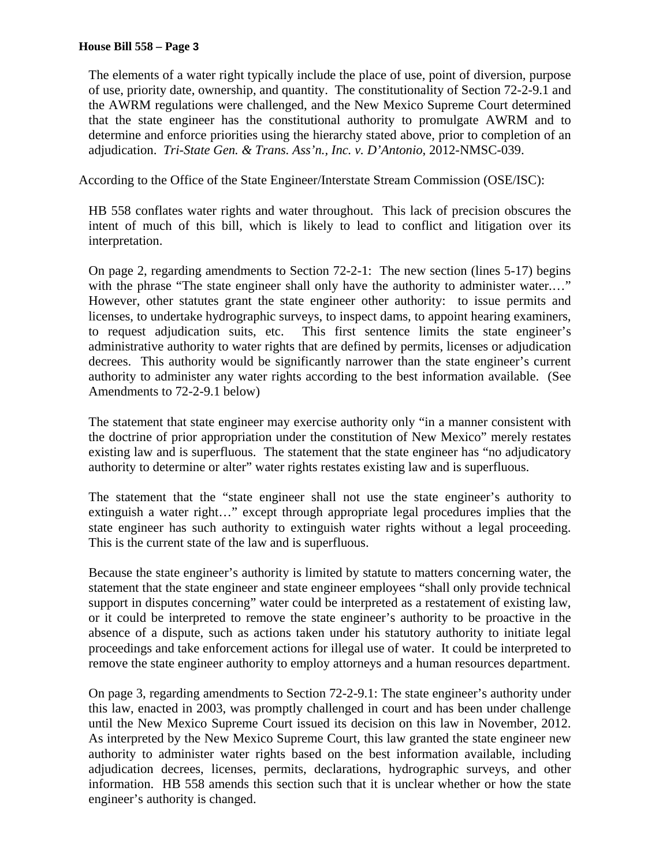The elements of a water right typically include the place of use, point of diversion, purpose of use, priority date, ownership, and quantity. The constitutionality of Section 72-2-9.1 and the AWRM regulations were challenged, and the New Mexico Supreme Court determined that the state engineer has the constitutional authority to promulgate AWRM and to determine and enforce priorities using the hierarchy stated above, prior to completion of an adjudication. *Tri-State Gen. & Trans. Ass'n., Inc. v. D'Antonio*, 2012-NMSC-039.

According to the Office of the State Engineer/Interstate Stream Commission (OSE/ISC):

HB 558 conflates water rights and water throughout. This lack of precision obscures the intent of much of this bill, which is likely to lead to conflict and litigation over its interpretation.

On page 2, regarding amendments to Section 72-2-1: The new section (lines 5-17) begins with the phrase "The state engineer shall only have the authority to administer water...." However, other statutes grant the state engineer other authority: to issue permits and licenses, to undertake hydrographic surveys, to inspect dams, to appoint hearing examiners, to request adjudication suits, etc. This first sentence limits the state engineer's administrative authority to water rights that are defined by permits, licenses or adjudication decrees. This authority would be significantly narrower than the state engineer's current authority to administer any water rights according to the best information available. (See Amendments to 72-2-9.1 below)

The statement that state engineer may exercise authority only "in a manner consistent with the doctrine of prior appropriation under the constitution of New Mexico" merely restates existing law and is superfluous. The statement that the state engineer has "no adjudicatory authority to determine or alter" water rights restates existing law and is superfluous.

The statement that the "state engineer shall not use the state engineer's authority to extinguish a water right…" except through appropriate legal procedures implies that the state engineer has such authority to extinguish water rights without a legal proceeding. This is the current state of the law and is superfluous.

Because the state engineer's authority is limited by statute to matters concerning water, the statement that the state engineer and state engineer employees "shall only provide technical support in disputes concerning" water could be interpreted as a restatement of existing law, or it could be interpreted to remove the state engineer's authority to be proactive in the absence of a dispute, such as actions taken under his statutory authority to initiate legal proceedings and take enforcement actions for illegal use of water. It could be interpreted to remove the state engineer authority to employ attorneys and a human resources department.

On page 3, regarding amendments to Section 72-2-9.1: The state engineer's authority under this law, enacted in 2003, was promptly challenged in court and has been under challenge until the New Mexico Supreme Court issued its decision on this law in November, 2012. As interpreted by the New Mexico Supreme Court, this law granted the state engineer new authority to administer water rights based on the best information available, including adjudication decrees, licenses, permits, declarations, hydrographic surveys, and other information. HB 558 amends this section such that it is unclear whether or how the state engineer's authority is changed.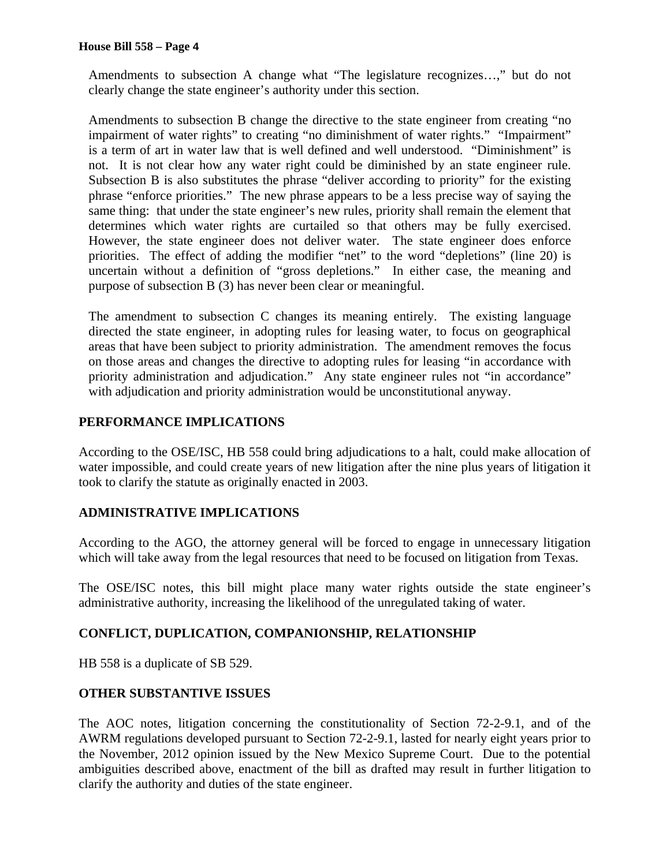Amendments to subsection A change what "The legislature recognizes…," but do not clearly change the state engineer's authority under this section.

Amendments to subsection B change the directive to the state engineer from creating "no impairment of water rights" to creating "no diminishment of water rights." "Impairment" is a term of art in water law that is well defined and well understood. "Diminishment" is not. It is not clear how any water right could be diminished by an state engineer rule. Subsection B is also substitutes the phrase "deliver according to priority" for the existing phrase "enforce priorities." The new phrase appears to be a less precise way of saying the same thing: that under the state engineer's new rules, priority shall remain the element that determines which water rights are curtailed so that others may be fully exercised. However, the state engineer does not deliver water. The state engineer does enforce priorities. The effect of adding the modifier "net" to the word "depletions" (line 20) is uncertain without a definition of "gross depletions." In either case, the meaning and purpose of subsection B (3) has never been clear or meaningful.

The amendment to subsection C changes its meaning entirely. The existing language directed the state engineer, in adopting rules for leasing water, to focus on geographical areas that have been subject to priority administration. The amendment removes the focus on those areas and changes the directive to adopting rules for leasing "in accordance with priority administration and adjudication." Any state engineer rules not "in accordance" with adjudication and priority administration would be unconstitutional anyway.

## **PERFORMANCE IMPLICATIONS**

According to the OSE/ISC, HB 558 could bring adjudications to a halt, could make allocation of water impossible, and could create years of new litigation after the nine plus years of litigation it took to clarify the statute as originally enacted in 2003.

### **ADMINISTRATIVE IMPLICATIONS**

According to the AGO, the attorney general will be forced to engage in unnecessary litigation which will take away from the legal resources that need to be focused on litigation from Texas.

The OSE/ISC notes, this bill might place many water rights outside the state engineer's administrative authority, increasing the likelihood of the unregulated taking of water.

## **CONFLICT, DUPLICATION, COMPANIONSHIP, RELATIONSHIP**

HB 558 is a duplicate of SB 529.

### **OTHER SUBSTANTIVE ISSUES**

The AOC notes, litigation concerning the constitutionality of Section 72-2-9.1, and of the AWRM regulations developed pursuant to Section 72-2-9.1, lasted for nearly eight years prior to the November, 2012 opinion issued by the New Mexico Supreme Court. Due to the potential ambiguities described above, enactment of the bill as drafted may result in further litigation to clarify the authority and duties of the state engineer.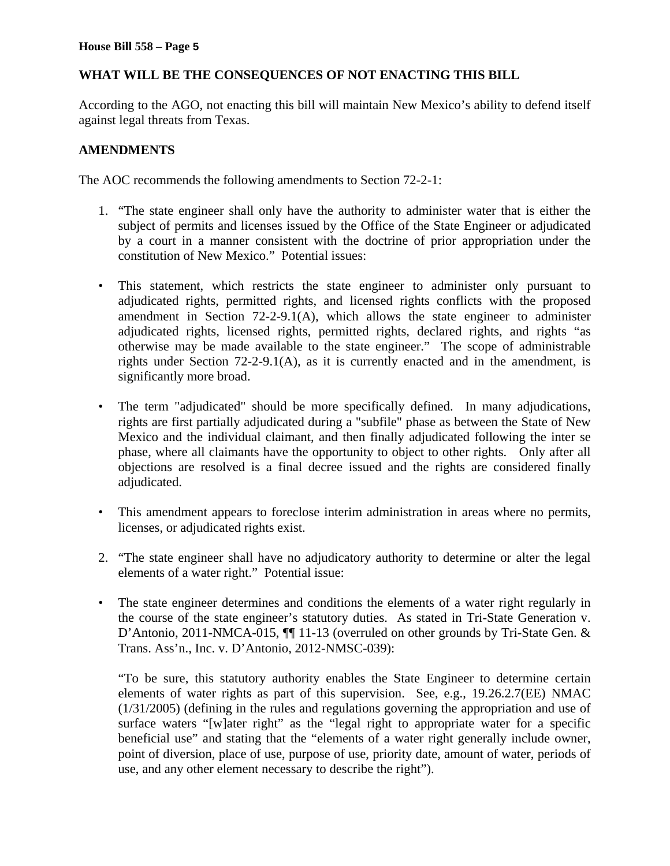### **WHAT WILL BE THE CONSEQUENCES OF NOT ENACTING THIS BILL**

According to the AGO, not enacting this bill will maintain New Mexico's ability to defend itself against legal threats from Texas.

#### **AMENDMENTS**

The AOC recommends the following amendments to Section 72-2-1:

- 1. "The state engineer shall only have the authority to administer water that is either the subject of permits and licenses issued by the Office of the State Engineer or adjudicated by a court in a manner consistent with the doctrine of prior appropriation under the constitution of New Mexico." Potential issues:
- This statement, which restricts the state engineer to administer only pursuant to adjudicated rights, permitted rights, and licensed rights conflicts with the proposed amendment in Section 72-2-9.1(A), which allows the state engineer to administer adjudicated rights, licensed rights, permitted rights, declared rights, and rights "as otherwise may be made available to the state engineer." The scope of administrable rights under Section 72-2-9.1(A), as it is currently enacted and in the amendment, is significantly more broad.
- The term "adjudicated" should be more specifically defined. In many adjudications, rights are first partially adjudicated during a "subfile" phase as between the State of New Mexico and the individual claimant, and then finally adjudicated following the inter se phase, where all claimants have the opportunity to object to other rights. Only after all objections are resolved is a final decree issued and the rights are considered finally adjudicated.
- This amendment appears to foreclose interim administration in areas where no permits, licenses, or adjudicated rights exist.
- 2. "The state engineer shall have no adjudicatory authority to determine or alter the legal elements of a water right." Potential issue:
- The state engineer determines and conditions the elements of a water right regularly in the course of the state engineer's statutory duties. As stated in Tri-State Generation v. D'Antonio, 2011-NMCA-015,  $\P$ [11-13 (overruled on other grounds by Tri-State Gen. & Trans. Ass'n., Inc. v. D'Antonio, 2012-NMSC-039):

"To be sure, this statutory authority enables the State Engineer to determine certain elements of water rights as part of this supervision. See, e.g., 19.26.2.7(EE) NMAC (1/31/2005) (defining in the rules and regulations governing the appropriation and use of surface waters "[w]ater right" as the "legal right to appropriate water for a specific beneficial use" and stating that the "elements of a water right generally include owner, point of diversion, place of use, purpose of use, priority date, amount of water, periods of use, and any other element necessary to describe the right").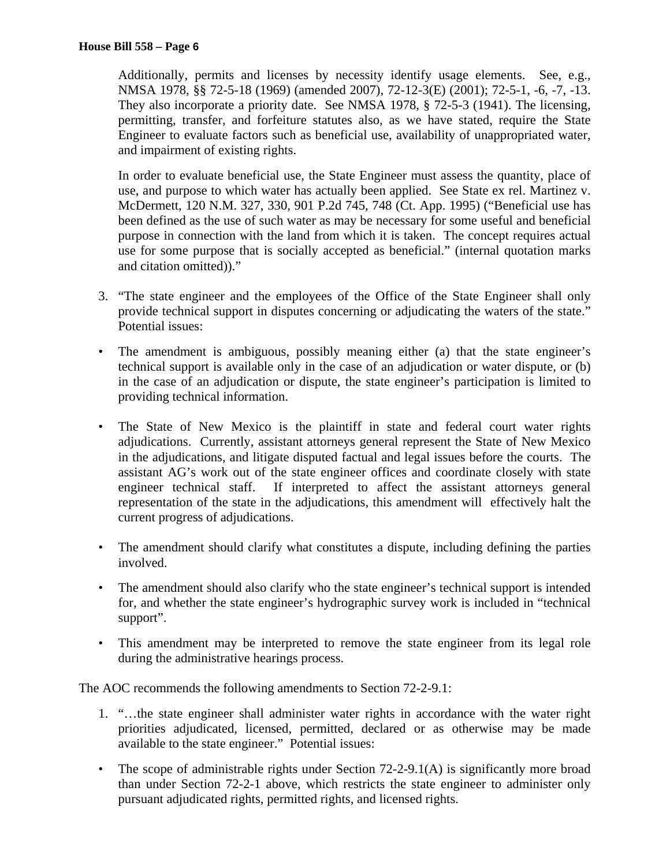Additionally, permits and licenses by necessity identify usage elements. See, e.g., NMSA 1978, §§ 72-5-18 (1969) (amended 2007), 72-12-3(E) (2001); 72-5-1, -6, -7, -13. They also incorporate a priority date. See NMSA 1978, § 72-5-3 (1941). The licensing, permitting, transfer, and forfeiture statutes also, as we have stated, require the State Engineer to evaluate factors such as beneficial use, availability of unappropriated water, and impairment of existing rights.

In order to evaluate beneficial use, the State Engineer must assess the quantity, place of use, and purpose to which water has actually been applied. See State ex rel. Martinez v. McDermett, 120 N.M. 327, 330, 901 P.2d 745, 748 (Ct. App. 1995) ("Beneficial use has been defined as the use of such water as may be necessary for some useful and beneficial purpose in connection with the land from which it is taken. The concept requires actual use for some purpose that is socially accepted as beneficial." (internal quotation marks and citation omitted))."

- 3. "The state engineer and the employees of the Office of the State Engineer shall only provide technical support in disputes concerning or adjudicating the waters of the state." Potential issues:
- The amendment is ambiguous, possibly meaning either (a) that the state engineer's technical support is available only in the case of an adjudication or water dispute, or (b) in the case of an adjudication or dispute, the state engineer's participation is limited to providing technical information.
- The State of New Mexico is the plaintiff in state and federal court water rights adjudications. Currently, assistant attorneys general represent the State of New Mexico in the adjudications, and litigate disputed factual and legal issues before the courts. The assistant AG's work out of the state engineer offices and coordinate closely with state engineer technical staff. If interpreted to affect the assistant attorneys general representation of the state in the adjudications, this amendment will effectively halt the current progress of adjudications.
- The amendment should clarify what constitutes a dispute, including defining the parties involved.
- The amendment should also clarify who the state engineer's technical support is intended for, and whether the state engineer's hydrographic survey work is included in "technical support".
- This amendment may be interpreted to remove the state engineer from its legal role during the administrative hearings process.

The AOC recommends the following amendments to Section 72-2-9.1:

- 1. "…the state engineer shall administer water rights in accordance with the water right priorities adjudicated, licensed, permitted, declared or as otherwise may be made available to the state engineer." Potential issues:
- The scope of administrable rights under Section 72-2-9.1(A) is significantly more broad than under Section 72-2-1 above, which restricts the state engineer to administer only pursuant adjudicated rights, permitted rights, and licensed rights.